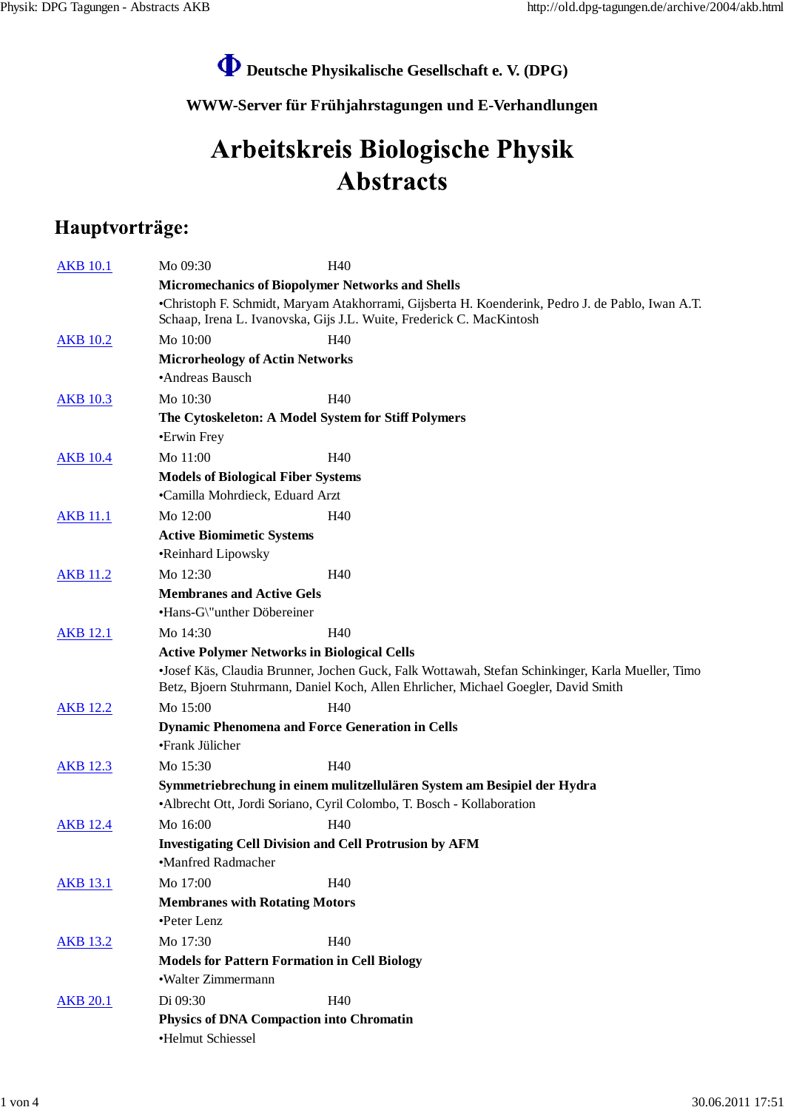## **Deutsche Physikalische Gesellschaft e. V. (DPG)**

**WWW-Server für Frühjahrstagungen und E-Verhandlungen**

## Arbeitskreis Biologische Physik **Abstracts**

## Hauptvorträge:

| <b>Micromechanics of Biopolymer Networks and Shells</b><br>•Christoph F. Schmidt, Maryam Atakhorrami, Gijsberta H. Koenderink, Pedro J. de Pablo, Iwan A.T.<br>Schaap, Irena L. Ivanovska, Gijs J.L. Wuite, Frederick C. MacKintosh<br><b>AKB 10.2</b><br>Mo 10:00<br>H40<br><b>Microrheology of Actin Networks</b><br>•Andreas Bausch<br>Mo 10:30<br>H40<br><b>AKB</b> 10.3<br>The Cytoskeleton: A Model System for Stiff Polymers<br>•Erwin Frey<br>Mo 11:00<br>H40<br><b>AKB</b> 10.4<br><b>Models of Biological Fiber Systems</b><br>•Camilla Mohrdieck, Eduard Arzt<br><b>AKB 11.1</b><br>Mo 12:00<br>H <sub>40</sub><br><b>Active Biomimetic Systems</b><br>•Reinhard Lipowsky<br>Mo 12:30<br>H40<br><b>AKB</b> 11.2<br><b>Membranes and Active Gels</b><br>•Hans-G\"unther Döbereiner<br>Mo 14:30<br>H <sub>40</sub><br><b>AKB</b> 12.1<br><b>Active Polymer Networks in Biological Cells</b><br>Betz, Bjoern Stuhrmann, Daniel Koch, Allen Ehrlicher, Michael Goegler, David Smith<br>Mo 15:00<br>H <sub>40</sub><br><b>AKB 12.2</b><br><b>Dynamic Phenomena and Force Generation in Cells</b><br>•Frank Jülicher<br>Mo 15:30<br>H40<br><b>AKB</b> 12.3<br>Symmetriebrechung in einem mulitzellulären System am Besipiel der Hydra<br>• Albrecht Ott, Jordi Soriano, Cyril Colombo, T. Bosch - Kollaboration<br>Mo 16:00<br>H <sub>40</sub><br><b>AKB 12.4</b><br><b>Investigating Cell Division and Cell Protrusion by AFM</b><br>•Manfred Radmacher |                                                                                                  |  |  |  |
|---------------------------------------------------------------------------------------------------------------------------------------------------------------------------------------------------------------------------------------------------------------------------------------------------------------------------------------------------------------------------------------------------------------------------------------------------------------------------------------------------------------------------------------------------------------------------------------------------------------------------------------------------------------------------------------------------------------------------------------------------------------------------------------------------------------------------------------------------------------------------------------------------------------------------------------------------------------------------------------------------------------------------------------------------------------------------------------------------------------------------------------------------------------------------------------------------------------------------------------------------------------------------------------------------------------------------------------------------------------------------------------------------------------------------------------------------------------|--------------------------------------------------------------------------------------------------|--|--|--|
|                                                                                                                                                                                                                                                                                                                                                                                                                                                                                                                                                                                                                                                                                                                                                                                                                                                                                                                                                                                                                                                                                                                                                                                                                                                                                                                                                                                                                                                               |                                                                                                  |  |  |  |
|                                                                                                                                                                                                                                                                                                                                                                                                                                                                                                                                                                                                                                                                                                                                                                                                                                                                                                                                                                                                                                                                                                                                                                                                                                                                                                                                                                                                                                                               |                                                                                                  |  |  |  |
|                                                                                                                                                                                                                                                                                                                                                                                                                                                                                                                                                                                                                                                                                                                                                                                                                                                                                                                                                                                                                                                                                                                                                                                                                                                                                                                                                                                                                                                               |                                                                                                  |  |  |  |
|                                                                                                                                                                                                                                                                                                                                                                                                                                                                                                                                                                                                                                                                                                                                                                                                                                                                                                                                                                                                                                                                                                                                                                                                                                                                                                                                                                                                                                                               |                                                                                                  |  |  |  |
|                                                                                                                                                                                                                                                                                                                                                                                                                                                                                                                                                                                                                                                                                                                                                                                                                                                                                                                                                                                                                                                                                                                                                                                                                                                                                                                                                                                                                                                               |                                                                                                  |  |  |  |
|                                                                                                                                                                                                                                                                                                                                                                                                                                                                                                                                                                                                                                                                                                                                                                                                                                                                                                                                                                                                                                                                                                                                                                                                                                                                                                                                                                                                                                                               |                                                                                                  |  |  |  |
|                                                                                                                                                                                                                                                                                                                                                                                                                                                                                                                                                                                                                                                                                                                                                                                                                                                                                                                                                                                                                                                                                                                                                                                                                                                                                                                                                                                                                                                               |                                                                                                  |  |  |  |
|                                                                                                                                                                                                                                                                                                                                                                                                                                                                                                                                                                                                                                                                                                                                                                                                                                                                                                                                                                                                                                                                                                                                                                                                                                                                                                                                                                                                                                                               |                                                                                                  |  |  |  |
|                                                                                                                                                                                                                                                                                                                                                                                                                                                                                                                                                                                                                                                                                                                                                                                                                                                                                                                                                                                                                                                                                                                                                                                                                                                                                                                                                                                                                                                               |                                                                                                  |  |  |  |
|                                                                                                                                                                                                                                                                                                                                                                                                                                                                                                                                                                                                                                                                                                                                                                                                                                                                                                                                                                                                                                                                                                                                                                                                                                                                                                                                                                                                                                                               |                                                                                                  |  |  |  |
|                                                                                                                                                                                                                                                                                                                                                                                                                                                                                                                                                                                                                                                                                                                                                                                                                                                                                                                                                                                                                                                                                                                                                                                                                                                                                                                                                                                                                                                               |                                                                                                  |  |  |  |
|                                                                                                                                                                                                                                                                                                                                                                                                                                                                                                                                                                                                                                                                                                                                                                                                                                                                                                                                                                                                                                                                                                                                                                                                                                                                                                                                                                                                                                                               |                                                                                                  |  |  |  |
|                                                                                                                                                                                                                                                                                                                                                                                                                                                                                                                                                                                                                                                                                                                                                                                                                                                                                                                                                                                                                                                                                                                                                                                                                                                                                                                                                                                                                                                               |                                                                                                  |  |  |  |
|                                                                                                                                                                                                                                                                                                                                                                                                                                                                                                                                                                                                                                                                                                                                                                                                                                                                                                                                                                                                                                                                                                                                                                                                                                                                                                                                                                                                                                                               |                                                                                                  |  |  |  |
|                                                                                                                                                                                                                                                                                                                                                                                                                                                                                                                                                                                                                                                                                                                                                                                                                                                                                                                                                                                                                                                                                                                                                                                                                                                                                                                                                                                                                                                               |                                                                                                  |  |  |  |
|                                                                                                                                                                                                                                                                                                                                                                                                                                                                                                                                                                                                                                                                                                                                                                                                                                                                                                                                                                                                                                                                                                                                                                                                                                                                                                                                                                                                                                                               |                                                                                                  |  |  |  |
|                                                                                                                                                                                                                                                                                                                                                                                                                                                                                                                                                                                                                                                                                                                                                                                                                                                                                                                                                                                                                                                                                                                                                                                                                                                                                                                                                                                                                                                               |                                                                                                  |  |  |  |
|                                                                                                                                                                                                                                                                                                                                                                                                                                                                                                                                                                                                                                                                                                                                                                                                                                                                                                                                                                                                                                                                                                                                                                                                                                                                                                                                                                                                                                                               |                                                                                                  |  |  |  |
|                                                                                                                                                                                                                                                                                                                                                                                                                                                                                                                                                                                                                                                                                                                                                                                                                                                                                                                                                                                                                                                                                                                                                                                                                                                                                                                                                                                                                                                               |                                                                                                  |  |  |  |
|                                                                                                                                                                                                                                                                                                                                                                                                                                                                                                                                                                                                                                                                                                                                                                                                                                                                                                                                                                                                                                                                                                                                                                                                                                                                                                                                                                                                                                                               | ·Josef Käs, Claudia Brunner, Jochen Guck, Falk Wottawah, Stefan Schinkinger, Karla Mueller, Timo |  |  |  |
|                                                                                                                                                                                                                                                                                                                                                                                                                                                                                                                                                                                                                                                                                                                                                                                                                                                                                                                                                                                                                                                                                                                                                                                                                                                                                                                                                                                                                                                               |                                                                                                  |  |  |  |
|                                                                                                                                                                                                                                                                                                                                                                                                                                                                                                                                                                                                                                                                                                                                                                                                                                                                                                                                                                                                                                                                                                                                                                                                                                                                                                                                                                                                                                                               |                                                                                                  |  |  |  |
|                                                                                                                                                                                                                                                                                                                                                                                                                                                                                                                                                                                                                                                                                                                                                                                                                                                                                                                                                                                                                                                                                                                                                                                                                                                                                                                                                                                                                                                               |                                                                                                  |  |  |  |
|                                                                                                                                                                                                                                                                                                                                                                                                                                                                                                                                                                                                                                                                                                                                                                                                                                                                                                                                                                                                                                                                                                                                                                                                                                                                                                                                                                                                                                                               |                                                                                                  |  |  |  |
|                                                                                                                                                                                                                                                                                                                                                                                                                                                                                                                                                                                                                                                                                                                                                                                                                                                                                                                                                                                                                                                                                                                                                                                                                                                                                                                                                                                                                                                               |                                                                                                  |  |  |  |
|                                                                                                                                                                                                                                                                                                                                                                                                                                                                                                                                                                                                                                                                                                                                                                                                                                                                                                                                                                                                                                                                                                                                                                                                                                                                                                                                                                                                                                                               |                                                                                                  |  |  |  |
|                                                                                                                                                                                                                                                                                                                                                                                                                                                                                                                                                                                                                                                                                                                                                                                                                                                                                                                                                                                                                                                                                                                                                                                                                                                                                                                                                                                                                                                               |                                                                                                  |  |  |  |
|                                                                                                                                                                                                                                                                                                                                                                                                                                                                                                                                                                                                                                                                                                                                                                                                                                                                                                                                                                                                                                                                                                                                                                                                                                                                                                                                                                                                                                                               |                                                                                                  |  |  |  |
|                                                                                                                                                                                                                                                                                                                                                                                                                                                                                                                                                                                                                                                                                                                                                                                                                                                                                                                                                                                                                                                                                                                                                                                                                                                                                                                                                                                                                                                               |                                                                                                  |  |  |  |
| Mo 17:00<br><b>AKB 13.1</b><br>H <sub>40</sub>                                                                                                                                                                                                                                                                                                                                                                                                                                                                                                                                                                                                                                                                                                                                                                                                                                                                                                                                                                                                                                                                                                                                                                                                                                                                                                                                                                                                                |                                                                                                  |  |  |  |
| <b>Membranes with Rotating Motors</b>                                                                                                                                                                                                                                                                                                                                                                                                                                                                                                                                                                                                                                                                                                                                                                                                                                                                                                                                                                                                                                                                                                                                                                                                                                                                                                                                                                                                                         |                                                                                                  |  |  |  |
| •Peter Lenz                                                                                                                                                                                                                                                                                                                                                                                                                                                                                                                                                                                                                                                                                                                                                                                                                                                                                                                                                                                                                                                                                                                                                                                                                                                                                                                                                                                                                                                   |                                                                                                  |  |  |  |
| Mo 17:30<br>H40<br><b>AKB 13.2</b>                                                                                                                                                                                                                                                                                                                                                                                                                                                                                                                                                                                                                                                                                                                                                                                                                                                                                                                                                                                                                                                                                                                                                                                                                                                                                                                                                                                                                            |                                                                                                  |  |  |  |
| <b>Models for Pattern Formation in Cell Biology</b><br>•Walter Zimmermann                                                                                                                                                                                                                                                                                                                                                                                                                                                                                                                                                                                                                                                                                                                                                                                                                                                                                                                                                                                                                                                                                                                                                                                                                                                                                                                                                                                     |                                                                                                  |  |  |  |
| Di 09:30<br>H40<br><b>AKB 20.1</b>                                                                                                                                                                                                                                                                                                                                                                                                                                                                                                                                                                                                                                                                                                                                                                                                                                                                                                                                                                                                                                                                                                                                                                                                                                                                                                                                                                                                                            |                                                                                                  |  |  |  |
| Physics of DNA Compaction into Chromatin                                                                                                                                                                                                                                                                                                                                                                                                                                                                                                                                                                                                                                                                                                                                                                                                                                                                                                                                                                                                                                                                                                                                                                                                                                                                                                                                                                                                                      |                                                                                                  |  |  |  |
| •Helmut Schiessel                                                                                                                                                                                                                                                                                                                                                                                                                                                                                                                                                                                                                                                                                                                                                                                                                                                                                                                                                                                                                                                                                                                                                                                                                                                                                                                                                                                                                                             |                                                                                                  |  |  |  |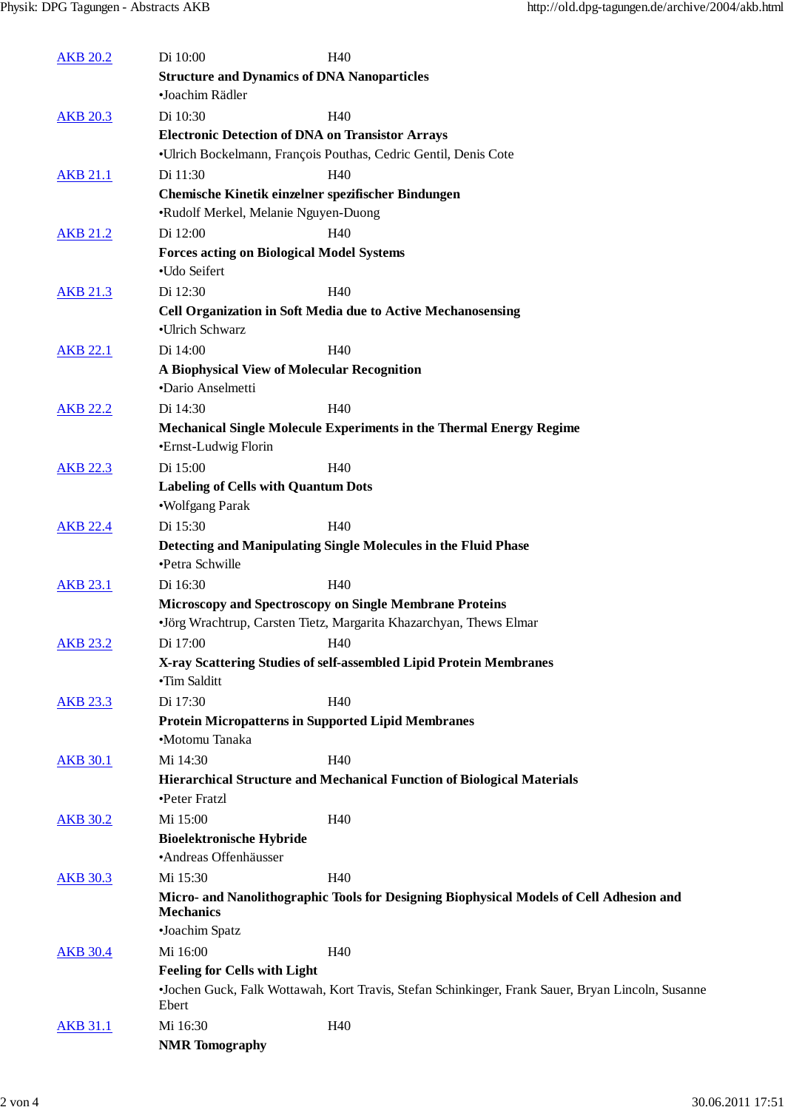| <b>AKB 20.2</b> | Di 10:00                                                | H40                                                                                               |
|-----------------|---------------------------------------------------------|---------------------------------------------------------------------------------------------------|
|                 | <b>Structure and Dynamics of DNA Nanoparticles</b>      |                                                                                                   |
|                 | •Joachim Rädler                                         |                                                                                                   |
| <b>AKB 20.3</b> | Di 10:30                                                | H <sub>40</sub>                                                                                   |
|                 | <b>Electronic Detection of DNA on Transistor Arrays</b> |                                                                                                   |
|                 |                                                         | ·Ulrich Bockelmann, François Pouthas, Cedric Gentil, Denis Cote                                   |
| <b>AKB 21.1</b> | Di 11:30                                                | H <sub>40</sub>                                                                                   |
|                 | Chemische Kinetik einzelner spezifischer Bindungen      |                                                                                                   |
|                 | •Rudolf Merkel, Melanie Nguyen-Duong                    |                                                                                                   |
| <b>AKB 21.2</b> | Di 12:00                                                | H <sub>40</sub>                                                                                   |
|                 | <b>Forces acting on Biological Model Systems</b>        |                                                                                                   |
|                 | •Udo Seifert                                            |                                                                                                   |
| <b>AKB 21.3</b> | Di 12:30                                                | H <sub>40</sub>                                                                                   |
|                 | •Ulrich Schwarz                                         | <b>Cell Organization in Soft Media due to Active Mechanosensing</b>                               |
| <b>AKB 22.1</b> | Di 14:00                                                | H40                                                                                               |
|                 | A Biophysical View of Molecular Recognition             |                                                                                                   |
|                 | •Dario Anselmetti                                       |                                                                                                   |
| <b>AKB 22.2</b> | Di 14:30                                                | H <sub>40</sub>                                                                                   |
|                 |                                                         | Mechanical Single Molecule Experiments in the Thermal Energy Regime                               |
|                 | •Ernst-Ludwig Florin                                    |                                                                                                   |
| <b>AKB 22.3</b> | Di 15:00                                                | H <sub>40</sub>                                                                                   |
|                 | <b>Labeling of Cells with Quantum Dots</b>              |                                                                                                   |
|                 | •Wolfgang Parak                                         |                                                                                                   |
| <b>AKB 22.4</b> | Di 15:30                                                | H <sub>40</sub>                                                                                   |
|                 |                                                         | Detecting and Manipulating Single Molecules in the Fluid Phase                                    |
|                 | •Petra Schwille                                         |                                                                                                   |
| <b>AKB 23.1</b> | Di 16:30                                                | H <sub>40</sub>                                                                                   |
|                 |                                                         | Microscopy and Spectroscopy on Single Membrane Proteins                                           |
|                 |                                                         | •Jörg Wrachtrup, Carsten Tietz, Margarita Khazarchyan, Thews Elmar                                |
| <b>AKB 23.2</b> | Di 17:00                                                | H40                                                                                               |
|                 | •Tim Salditt                                            | X-ray Scattering Studies of self-assembled Lipid Protein Membranes                                |
|                 | Di 17:30                                                | H40                                                                                               |
| <b>AKB 23.3</b> |                                                         | <b>Protein Micropatterns in Supported Lipid Membranes</b>                                         |
|                 | •Motomu Tanaka                                          |                                                                                                   |
| <b>AKB 30.1</b> | Mi 14:30                                                | H <sub>40</sub>                                                                                   |
|                 |                                                         | Hierarchical Structure and Mechanical Function of Biological Materials                            |
|                 | •Peter Fratzl                                           |                                                                                                   |
| <b>AKB 30.2</b> | Mi 15:00                                                | H <sub>40</sub>                                                                                   |
|                 | <b>Bioelektronische Hybride</b>                         |                                                                                                   |
|                 | ·Andreas Offenhäusser                                   |                                                                                                   |
| <b>AKB 30.3</b> | Mi 15:30                                                | H40                                                                                               |
|                 |                                                         | Micro- and Nanolithographic Tools for Designing Biophysical Models of Cell Adhesion and           |
|                 | <b>Mechanics</b>                                        |                                                                                                   |
|                 | •Joachim Spatz                                          |                                                                                                   |
| <b>AKB 30.4</b> | Mi 16:00                                                | H <sub>40</sub>                                                                                   |
|                 | <b>Feeling for Cells with Light</b>                     |                                                                                                   |
|                 |                                                         | •Jochen Guck, Falk Wottawah, Kort Travis, Stefan Schinkinger, Frank Sauer, Bryan Lincoln, Susanne |
|                 | Ebert                                                   |                                                                                                   |
| <b>AKB 31.1</b> | Mi 16:30                                                | H <sub>40</sub>                                                                                   |
|                 | <b>NMR</b> Tomography                                   |                                                                                                   |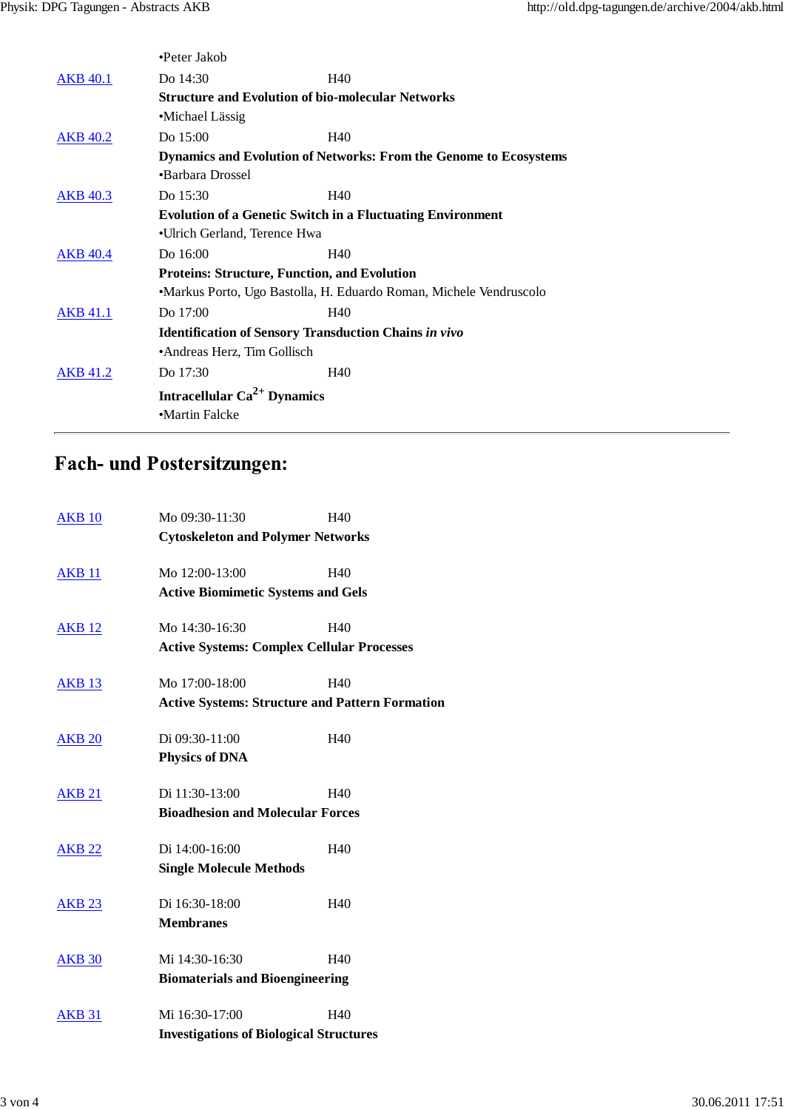|                 | •Peter Jakob                                                      |                                                                          |  |
|-----------------|-------------------------------------------------------------------|--------------------------------------------------------------------------|--|
| <b>AKB</b> 40.1 | Do 14:30                                                          | H40                                                                      |  |
|                 | <b>Structure and Evolution of bio-molecular Networks</b>          |                                                                          |  |
|                 | •Michael Lässig                                                   |                                                                          |  |
| <b>AKB</b> 40.2 | Do 15:00                                                          | H40                                                                      |  |
|                 |                                                                   | <b>Dynamics and Evolution of Networks: From the Genome to Ecosystems</b> |  |
|                 | •Barbara Drossel                                                  |                                                                          |  |
| <b>AKB</b> 40.3 | Do 15:30                                                          | H40                                                                      |  |
|                 | <b>Evolution of a Genetic Switch in a Fluctuating Environment</b> |                                                                          |  |
|                 | •Ulrich Gerland, Terence Hwa                                      |                                                                          |  |
| <b>AKB</b> 40.4 | Do 16:00                                                          | H40                                                                      |  |
|                 | <b>Proteins: Structure, Function, and Evolution</b>               |                                                                          |  |
|                 |                                                                   | •Markus Porto, Ugo Bastolla, H. Eduardo Roman, Michele Vendruscolo       |  |
| <b>AKB</b> 41.1 | Do 17:00                                                          | H40                                                                      |  |
|                 | <b>Identification of Sensory Transduction Chains in vivo</b>      |                                                                          |  |
|                 | •Andreas Herz, Tim Gollisch                                       |                                                                          |  |
| <b>AKB</b> 41.2 | Do 17:30                                                          | H40                                                                      |  |
|                 | Intracellular $Ca^{2+}$ Dynamics                                  |                                                                          |  |
|                 | •Martin Falcke                                                    |                                                                          |  |
|                 |                                                                   |                                                                          |  |

## Fach- und Postersitzungen:

| <b>AKB 10</b>                                  | Mo 09:30-11:30                                         | H <sub>40</sub>                          |  |  |
|------------------------------------------------|--------------------------------------------------------|------------------------------------------|--|--|
|                                                |                                                        | <b>Cytoskeleton and Polymer Networks</b> |  |  |
| <b>AKB 11</b>                                  | Mo 12:00-13:00                                         | H40                                      |  |  |
|                                                | <b>Active Biomimetic Systems and Gels</b>              |                                          |  |  |
| <b>AKB 12</b>                                  | Mo 14:30-16:30                                         | H40                                      |  |  |
|                                                | <b>Active Systems: Complex Cellular Processes</b>      |                                          |  |  |
| <b>AKB 13</b>                                  | Mo 17:00-18:00                                         | H40                                      |  |  |
|                                                | <b>Active Systems: Structure and Pattern Formation</b> |                                          |  |  |
| <b>AKB 20</b>                                  | Di 09:30-11:00                                         | H <sub>40</sub>                          |  |  |
|                                                | <b>Physics of DNA</b>                                  |                                          |  |  |
| <b>AKB 21</b>                                  | Di 11:30-13:00                                         | H40                                      |  |  |
|                                                | <b>Bioadhesion and Molecular Forces</b>                |                                          |  |  |
| <b>AKB 22</b>                                  | Di 14:00-16:00                                         | H40                                      |  |  |
|                                                | <b>Single Molecule Methods</b>                         |                                          |  |  |
| <b>AKB 23</b>                                  | Di 16:30-18:00                                         | H40                                      |  |  |
|                                                | <b>Membranes</b>                                       |                                          |  |  |
| <b>AKB 30</b>                                  | Mi 14:30-16:30                                         | H40                                      |  |  |
|                                                | <b>Biomaterials and Bioengineering</b>                 |                                          |  |  |
| <b>AKB 31</b>                                  | Mi 16:30-17:00                                         | H40                                      |  |  |
| <b>Investigations of Biological Structures</b> |                                                        |                                          |  |  |